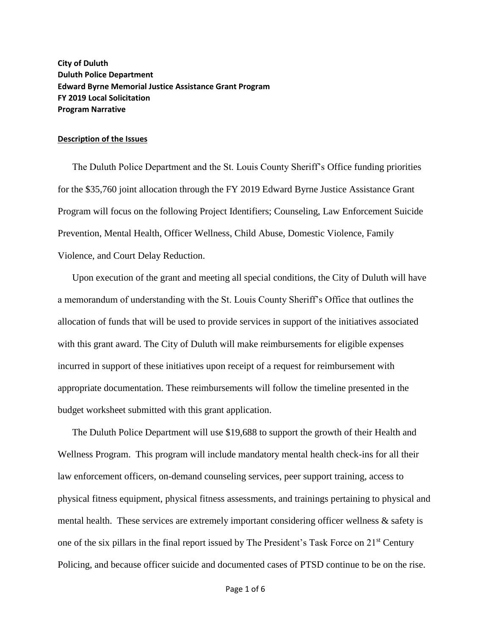**City of Duluth Duluth Police Department Edward Byrne Memorial Justice Assistance Grant Program FY 2019 Local Solicitation Program Narrative**

## **Description of the Issues**

The Duluth Police Department and the St. Louis County Sheriff's Office funding priorities for the \$35,760 joint allocation through the FY 2019 Edward Byrne Justice Assistance Grant Program will focus on the following Project Identifiers; Counseling, Law Enforcement Suicide Prevention, Mental Health, Officer Wellness, Child Abuse, Domestic Violence, Family Violence, and Court Delay Reduction.

Upon execution of the grant and meeting all special conditions, the City of Duluth will have a memorandum of understanding with the St. Louis County Sheriff's Office that outlines the allocation of funds that will be used to provide services in support of the initiatives associated with this grant award. The City of Duluth will make reimbursements for eligible expenses incurred in support of these initiatives upon receipt of a request for reimbursement with appropriate documentation. These reimbursements will follow the timeline presented in the budget worksheet submitted with this grant application.

The Duluth Police Department will use \$19,688 to support the growth of their Health and Wellness Program. This program will include mandatory mental health check-ins for all their law enforcement officers, on-demand counseling services, peer support training, access to physical fitness equipment, physical fitness assessments, and trainings pertaining to physical and mental health. These services are extremely important considering officer wellness & safety is one of the six pillars in the final report issued by The President's Task Force on 21st Century Policing, and because officer suicide and documented cases of PTSD continue to be on the rise.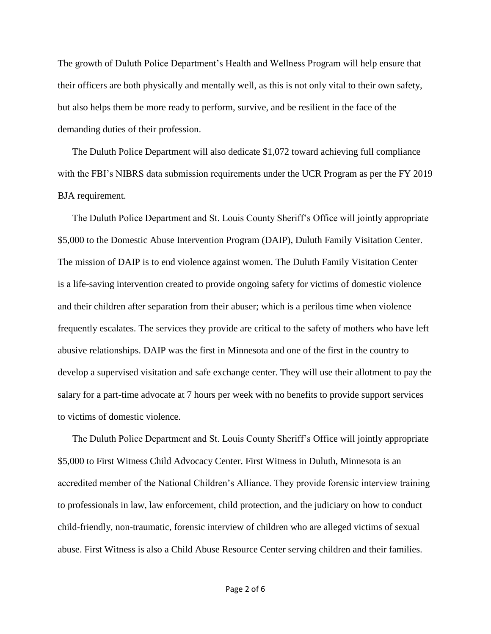The growth of Duluth Police Department's Health and Wellness Program will help ensure that their officers are both physically and mentally well, as this is not only vital to their own safety, but also helps them be more ready to perform, survive, and be resilient in the face of the demanding duties of their profession.

The Duluth Police Department will also dedicate \$1,072 toward achieving full compliance with the FBI's NIBRS data submission requirements under the UCR Program as per the FY 2019 BJA requirement.

The Duluth Police Department and St. Louis County Sheriff's Office will jointly appropriate \$5,000 to the Domestic Abuse Intervention Program (DAIP), Duluth Family Visitation Center. The mission of DAIP is to end violence against women. The Duluth Family Visitation Center is a life-saving intervention created to provide ongoing safety for victims of domestic violence and their children after separation from their abuser; which is a perilous time when violence frequently escalates. The services they provide are critical to the safety of mothers who have left abusive relationships. DAIP was the first in Minnesota and one of the first in the country to develop a supervised visitation and safe exchange center. They will use their allotment to pay the salary for a part-time advocate at 7 hours per week with no benefits to provide support services to victims of domestic violence.

The Duluth Police Department and St. Louis County Sheriff's Office will jointly appropriate \$5,000 to First Witness Child Advocacy Center. First Witness in Duluth, Minnesota is an accredited member of the National Children's Alliance. They provide forensic interview training to professionals in law, law enforcement, child protection, and the judiciary on how to conduct child-friendly, non-traumatic, forensic interview of children who are alleged victims of sexual abuse. First Witness is also a Child Abuse Resource Center serving children and their families.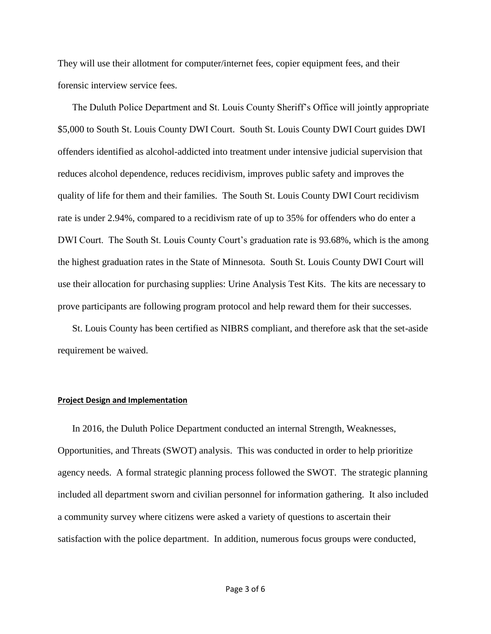They will use their allotment for computer/internet fees, copier equipment fees, and their forensic interview service fees.

The Duluth Police Department and St. Louis County Sheriff's Office will jointly appropriate \$5,000 to South St. Louis County DWI Court. South St. Louis County DWI Court guides DWI offenders identified as alcohol-addicted into treatment under intensive judicial supervision that reduces alcohol dependence, reduces recidivism, improves public safety and improves the quality of life for them and their families. The South St. Louis County DWI Court recidivism rate is under 2.94%, compared to a recidivism rate of up to 35% for offenders who do enter a DWI Court. The South St. Louis County Court's graduation rate is 93.68%, which is the among the highest graduation rates in the State of Minnesota. South St. Louis County DWI Court will use their allocation for purchasing supplies: Urine Analysis Test Kits. The kits are necessary to prove participants are following program protocol and help reward them for their successes.

St. Louis County has been certified as NIBRS compliant, and therefore ask that the set-aside requirement be waived.

## **Project Design and Implementation**

In 2016, the Duluth Police Department conducted an internal Strength, Weaknesses, Opportunities, and Threats (SWOT) analysis. This was conducted in order to help prioritize agency needs. A formal strategic planning process followed the SWOT. The strategic planning included all department sworn and civilian personnel for information gathering. It also included a community survey where citizens were asked a variety of questions to ascertain their satisfaction with the police department. In addition, numerous focus groups were conducted,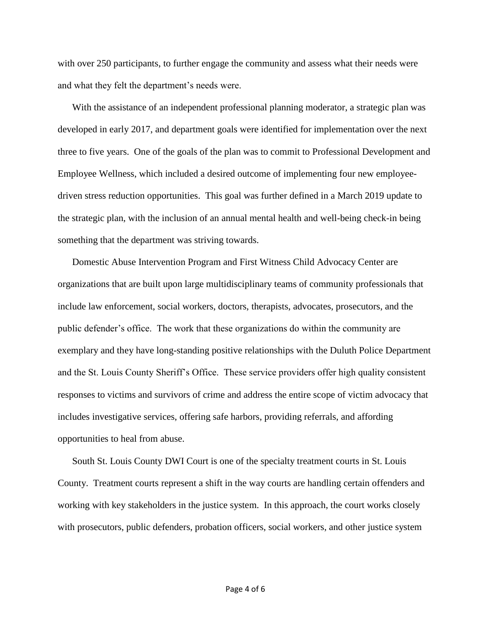with over 250 participants, to further engage the community and assess what their needs were and what they felt the department's needs were.

With the assistance of an independent professional planning moderator, a strategic plan was developed in early 2017, and department goals were identified for implementation over the next three to five years. One of the goals of the plan was to commit to Professional Development and Employee Wellness, which included a desired outcome of implementing four new employeedriven stress reduction opportunities. This goal was further defined in a March 2019 update to the strategic plan, with the inclusion of an annual mental health and well-being check-in being something that the department was striving towards.

Domestic Abuse Intervention Program and First Witness Child Advocacy Center are organizations that are built upon large multidisciplinary teams of community professionals that include law enforcement, social workers, doctors, therapists, advocates, prosecutors, and the public defender's office. The work that these organizations do within the community are exemplary and they have long-standing positive relationships with the Duluth Police Department and the St. Louis County Sheriff's Office. These service providers offer high quality consistent responses to victims and survivors of crime and address the entire scope of victim advocacy that includes investigative services, offering safe harbors, providing referrals, and affording opportunities to heal from abuse.

South St. Louis County DWI Court is one of the specialty treatment courts in St. Louis County. Treatment courts represent a shift in the way courts are handling certain offenders and working with key stakeholders in the justice system. In this approach, the court works closely with prosecutors, public defenders, probation officers, social workers, and other justice system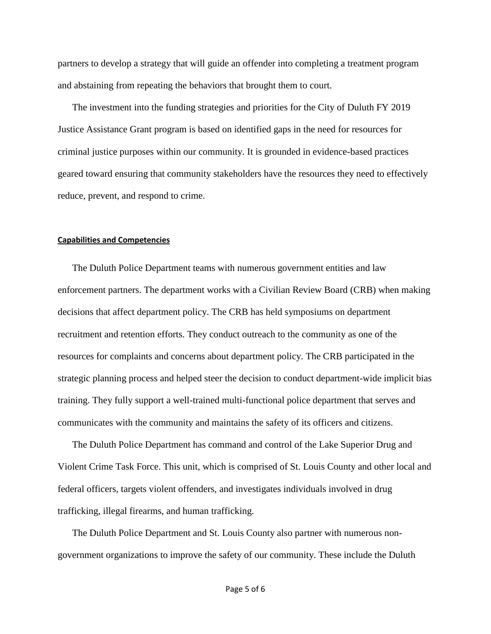partners to develop a strategy that will guide an offender into completing a treatment program and abstaining from repeating the behaviors that brought them to court.

The investment into the funding strategies and priorities for the City of Duluth FY 2019 Justice Assistance Grant program is based on identified gaps in the need for resources for criminal justice purposes within our community. It is grounded in evidence-based practices geared toward ensuring that community stakeholders have the resources they need to effectively reduce, prevent, and respond to crime.

## **Capabilities and Competencies**

The Duluth Police Department teams with numerous government entities and law enforcement partners. The department works with a Civilian Review Board (CRB) when making decisions that affect department policy. The CRB has held symposiums on department recruitment and retention efforts. They conduct outreach to the community as one of the resources for complaints and concerns about department policy. The CRB participated in the strategic planning process and helped steer the decision to conduct department-wide implicit bias training. They fully support a well-trained multi-functional police department that serves and communicates with the community and maintains the safety of its officers and citizens.

The Duluth Police Department has command and control of the Lake Superior Drug and Violent Crime Task Force. This unit, which is comprised of St. Louis County and other local and federal officers, targets violent offenders, and investigates individuals involved in drug trafficking, illegal firearms, and human trafficking.

The Duluth Police Department and St. Louis County also partner with numerous nongovernment organizations to improve the safety of our community. These include the Duluth